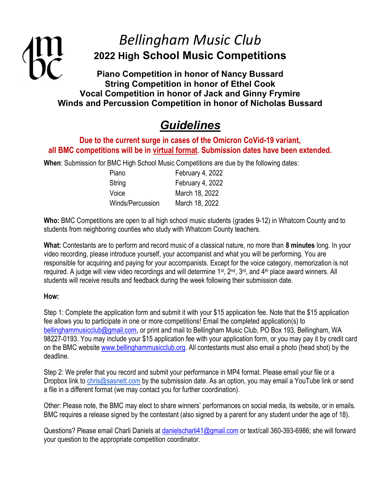## Bellingham Music Club 2022 High School Music Competitions

Piano Competition in honor of Nancy Bussard String Competition in honor of Ethel Cook Vocal Competition in honor of Jack and Ginny Frymire Winds and Percussion Competition in honor of Nicholas Bussard

## **Guidelines**

### Due to the current surge in cases of the Omicron CoVid-19 variant, all BMC competitions will be in virtual format. Submission dates have been extended.

When: Submission for BMC High School Music Competitions are due by the following dates:

| Piano            | February 4, 2022 |
|------------------|------------------|
| String           | February 4, 2022 |
| Voice            | March 18, 2022   |
| Winds/Percussion | March 18, 2022   |

Who: BMC Competitions are open to all high school music students (grades 9-12) in Whatcom County and to students from neighboring counties who study with Whatcom County teachers.

What: Contestants are to perform and record music of a classical nature, no more than 8 minutes long. In your video recording, please introduce yourself, your accompanist and what you will be performing. You are responsible for acquiring and paying for your accompanists. Except for the voice category, memorization is not required. A judge will view video recordings and will determine 1<sup>st</sup>, 2<sup>nd</sup>, 3<sup>rd</sup>, and 4<sup>th</sup> place award winners. All students will receive results and feedback during the week following their submission date.

#### How:

Step 1: Complete the application form and submit it with your \$15 application fee. Note that the \$15 application fee allows you to participate in one or more competitions! Email the completed application(s) to bellinghammusicclub@gmail.com, or print and mail to Bellingham Music Club, PO Box 193, Bellingham, WA 98227-0193. You may include your \$15 application fee with your application form, or you may pay it by credit card on the BMC website www.bellinghammusicclub.org. All contestants must also email a photo (head shot) by the deadline.

Step 2: We prefer that you record and submit your performance in MP4 format. Please email your file or a Dropbox link to chris@sasnett.com by the submission date. As an option, you may email a YouTube link or send a file in a different format (we may contact you for further coordination).

Other: Please note, the BMC may elect to share winners' performances on social media, its website, or in emails. BMC requires a release signed by the contestant (also signed by a parent for any student under the age of 18).

Questions? Please email Charli Daniels at danielscharli41@gmail.com or text/call 360-393-6986; she will forward your question to the appropriate competition coordinator.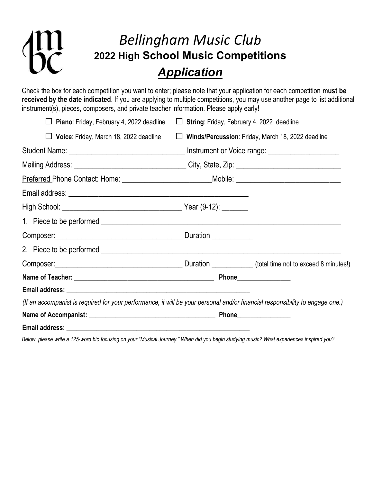# $\overline{z}$

## Bellingham Music Club 2022 High School Music Competitions **Application**

Check the box for each competition you want to enter; please note that your application for each competition must be received by the date indicated. If you are applying to multiple competitions, you may use another page to list additional instrument(s), pieces, composers, and private teacher information. Please apply early!

| Piano: Friday, February 4, 2022 deadline                                                                                      | $\Box$ String: Friday, February 4, 2022 deadline |                                                          |
|-------------------------------------------------------------------------------------------------------------------------------|--------------------------------------------------|----------------------------------------------------------|
| $\Box$ Voice: Friday, March 18, 2022 deadline                                                                                 |                                                  | $\Box$ Winds/Percussion: Friday, March 18, 2022 deadline |
|                                                                                                                               |                                                  |                                                          |
| Mailing Address: __________________________________City, State, Zip: _______________________________                          |                                                  |                                                          |
|                                                                                                                               |                                                  |                                                          |
|                                                                                                                               |                                                  |                                                          |
|                                                                                                                               |                                                  |                                                          |
|                                                                                                                               |                                                  |                                                          |
| Composer: Composer Composer Composer Composer Composer Composer Composer Composer Composer                                    |                                                  |                                                          |
|                                                                                                                               |                                                  |                                                          |
| Composer: Composer [10] Duration Composer [10] Annutes!)                                                                      |                                                  |                                                          |
|                                                                                                                               |                                                  |                                                          |
|                                                                                                                               |                                                  |                                                          |
| (If an accompanist is required for your performance, it will be your personal and/or financial responsibility to engage one.) |                                                  |                                                          |
|                                                                                                                               |                                                  |                                                          |
|                                                                                                                               |                                                  |                                                          |

Below, please write a 125-word bio focusing on your "Musical Journey." When did you begin studying music? What experiences inspired you?